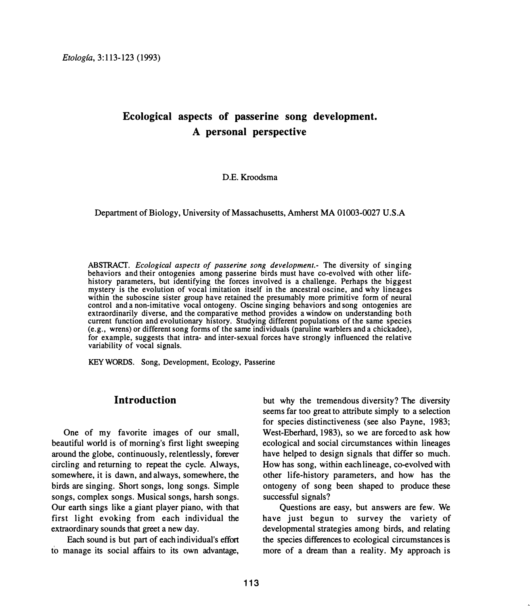# **Ecological aspects of passerine song development. A personal perspective**

**D.E. Kroodsma**

**Department of Biology, University of Massachusetts, Amherst MA 01003-0027 U.S.A** 

ABSTRACT. *Ecological aspects of passerine song development.-* The diversity of singing behaviors and their ontogenies among passerine birds must have co-evolved with other lifehistory parameters, but identifying the forces involved is a challenge. Perhaps the biggest mystery is the evolution of vocal imitation itself in the ancestral oscine, and why lineages within the suboscine sister group have retained the presumably more primitive form of neural control and a non-imitative vocal ontogeny. Oscine singing behaviors and song ontogenies are extraordinarily diverse, and the comparative method provides a window on understanding both current function and evolutionary history. Studying different populations of the same species (e.g., wrens) or different song forms of the same individuals (paruline warblers and a chickadee), for example, suggests that intra- and inter-sexual forces have strongly influenced the relative variability of vocal signals.

KEYWORDS. Song, Development, Ecology, Passerine

### **Introduction**

**One of my favorite images of our small, beautiful world is of morning's first light sweeping around the globe, continuously, relentlessly, forever circling and returning to repeat the cycle. Always, somewhere, it is dawn, and always, somewhere, the birds are singing. Short songs, long songs. Simple songs, complex songs. Musical songs, harsh songs. Our earth sings like a giant player piano, with that first light evoking from each individual the extraordinary sounds that greet a new day.** 

**Each sound is but part of each individual's effort to manage its social affairs to its own advantage,** 

**but why the tremendous diversity? The diversity seems far too great to attribute simply to a selection for species distinctiveness (see also Payne, 1983; West-Eberhard, 1983), so we are forced to ask how ecological and social circumstances within lineages have helped to design signals that differ so much. How has song, within each lineage, co-evolved with other life-history parameters, and how has the ontogeny of song been shaped to produce these successful signals?** 

**Questions are easy, but answers are few. We have just begun to survey the variety of developmental strategies among birds, and relating the species differences to ecological circumstances is more of a dream than a reality. My approach is**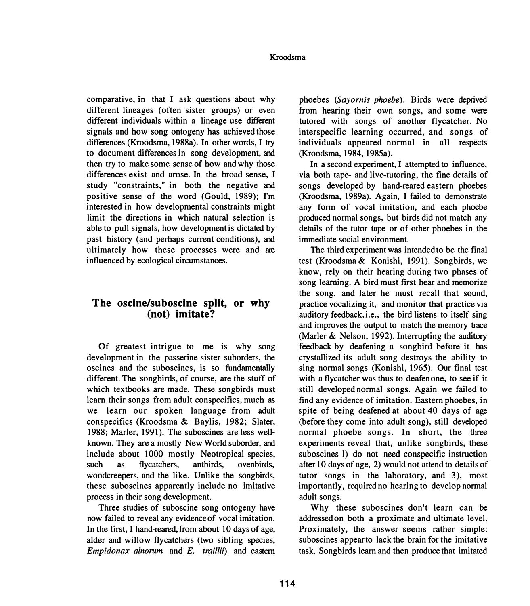#### **Kroodsma**

**comparative, in that I ask questions about why different lineages (often sister groups) or even different individuals within a lineage use different signals and how song ontogeny has achieved those differences (Kroodsma, 1988a). In other words, I try to document differences in song development, and then try to make some sense of how and why those differences exist and arose. In the broad sense, I study "constraints," in both the negative and positive sense of the word (Gould, 1989); I'm interested in how developmental constraints might limit the directions in which natural selection is able to pull signals, how development is dictated by past history (and perhaps current conditions), and ultimately how these processes were and are influenced by ecological circumstances.** 

## **The oscine/suboscine split, or why (not) imitate?**

**Of greatest intrigue to me is why song development in the passerine sister suborders, the oscines and the suboscines, is so fundamentally different. The songbirds, of course, are the stuff of which textbooks are made. These songbirds must learn their songs from adult conspecifics, much as we learn our spoken language from adult conspecifics (Kroodsma & Baylis, 1982; Slater, 1988; Marler, 1991). The suboscines are less wellknown. They are a mostly New World suborder, and include about 1000 mostly Neotropical species, such as flycatchers, antbirds, ovenbirds, woodcreepers, and the like. Unlike the songbirds, these suboscines apparently include no imitative process in their song development.** 

**Three studies of suboscine song ontogeny have now failed to reveal any evidence of vocal imitation. In the first, I hand-reared, from about 10 days of age, alder and willow flycatchers (two sibling species,**  *Empidonax alnorum* **and** *E. traillii)* **and eastern**  **phoebes** *(Sayornis plwebe).* **Birds were deprived from hearing their own songs, and some were tutored with songs of another flycatcher. No interspecific learning occurred, and songs of individuals appeared normal in all respects (Kroodsma, 1984, 1985a).** 

**In a second experiment, I attempted to influence, via both tape- and live-tutoring, the fine details of songs developed by hand-reared eastern phoebes (Kroodsma, 1989a). Again, I failed to demonstrate any form of vocal imitation, and each phoebe produced normal songs, but birds did not match any details of the tutor tape or of other phoebes in the immediate social environment.** 

**The third experiment was intended to be the final test (Kroodsma & Konishi, 1991). Songbirds, we know, rely on their hearing during two phases of song learning. A bird must first hear and memorize the song, and later he must recall that sound, practice vocalizing it, and monitor that practice via auditory feedback, i.e., the bird listens to itself sing and improves the output to match the memory trace (Marler & Nelson, 1992). Interrupting the auditory feedback by deafening a songbird before it has crystallized its adult song destroys the ability to sing normal songs (Konishi, 1965). Our final test with a flycatcher was thus to deafen one, to see if it still developed normal songs. Again we failed to find any evidence of imitation. Eastern phoebes, in spite of being deafened at about 40 days of age (before they come into adult song), still developed normal phoebe songs. In short, the three experiments reveal that, unlike songbirds, these suboscines l) do not need conspecific instruction after 10 days of age, 2) would not attend to details of tutor songs in the laboratory, and 3), most importantly, required no hearing to develop normal adult songs.** 

**Why these suboscines don't learn can be addressed on both a proximate and ultimate level. Proximately, the answer seems rather simple: suboscines appear to lack the brain for the imitative task. Songbirds learn and then produce that imitated**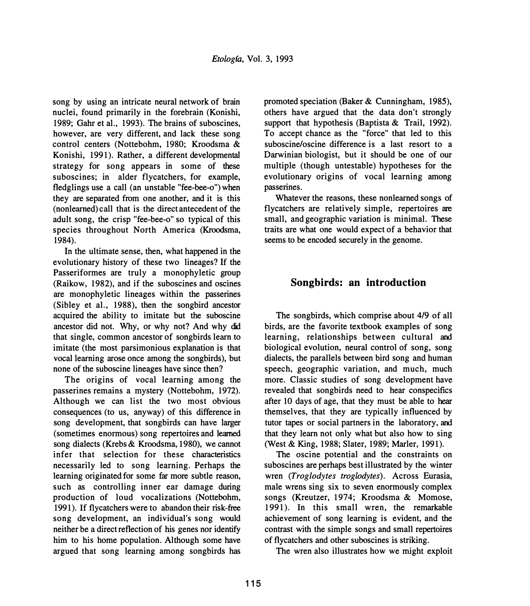song by using an intricate neural network of brain nuclei, found primarily in the forebrain (Konishi, 1989; Gahr et al., 1993). The brains of suboscines, however, are very different, and lack these song control centers (Nottebohm, 1980; Kroodsma & Konishi, 1991). Rather, a different developmental strategy for song appears in some of these suboscines; in alder flycatchers, for example, fledglings use a call (an unstable "fee-bee-o") when they are separated from one another, and it is this (nonlearned) call that is the direct antecedent of the adult song, the crisp "fee-bee-o" so typical of this species throughout North America (Kroodsma, 1984).

In the ultimate sense, then, what happened in the evolutionary history of these two lineages? If the Passeriformes are truly a monophyletic group (Raikow, 1982), and if the suboscines and oscines are monophyletic lineages within the passerines (Sibley et al., 1988), then the songbird ancestor acquired the ability to imitate but the suboscine ancestor did not. Why, or why not? And why did that single, common ancestor of songbirds learn to imitate (the most parsimonious explanation is that vocal learning arose once among the songbirds), but none of the suboscine lineages have since then?

The origins of vocal learning among the passerines remains a mystery (Nottebohm, 1972). Although we can list the two most obvious consequences (to us, anyway) of this difference in song development, that songbirds can have larger (sometimes enormous) song repertoires and learned song dialects (Krebs & Kroodsma, 1980), we cannot infer that selection for these characteristics necessarily led to song learning. Perhaps the learning originated for some far more subtle reason, such as controlling inner ear damage during production of loud vocalizations (Nottebohm, 1991). If flycatchers were to abandon their risk-free song development, an individual's song would neither be a direct reflection of his genes nor identify him to his home population. Although some have argued that song learning among songbirds has

promoted speciation (Baker & Cunningham, 1985), others have argued that the data don't strongly support that hypothesis (Baptista & Trail, 1992). To accept chance as the "force" that led to this suboscine/oscine difference is a last resort to a Darwinian biologist, but it should be one of our multiple (though untestable) hypotheses for the evolutionary origins of vocal learning among passerines.

Whatever the reasons, these nonlearned songs of flycatchers are relatively simple, repertoires are small, and geographic variation is minimal. These traits are what one would expect of a behavior that seems to be encoded securely in the genome.

# **Songbirds: an introduction**

The songbirds, which comprise about 4/9 of all birds, are the favorite textbook examples of song learning, relationships between cultural and biological evolution, neural control of song, song dialects, the parallels between bird song and human speech, geographic variation, and much, much more. Classic studies of song development have revealed that songbirds need to hear conspecifics after 10 days of age, that they must be able to hear themselves, that they are typically influenced by tutor tapes or social partners in the laboratory, and that they learn not only what but also how to sing (West & King, 1988; Slater, 1989; Marler, 1991).

The oscine potential and the constraints on suboscines are perhaps best illustrated by the winter wren *(Troglodytes troglodytes).* Across Eurasia, male wrens sing six to seven enormously complex songs (Kreutzer, 1974; Kroodsma & Momose, 1991). In this small wren, the remarkable achievement of song learning is evident, and the contrast with the simple songs and small repertoires of flycatchers and other suboscines is striking.

The wren also illustrates how we might exploit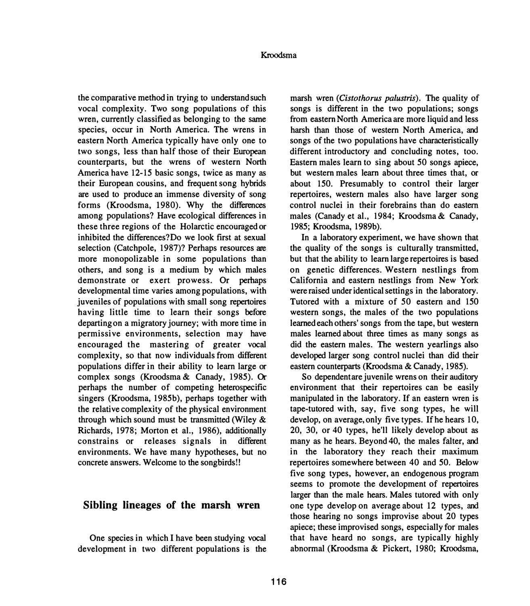**the comparative method in trying to understand such vocal complexity. Two song populations of this wren, currently classified as belonging to the same species, occur in North America. The wrens in eastern North America typically have only one to two songs, less than half those of their European counterparts, but the wrens of western North America have 12-15 basic songs, twice as many as their European cousins, and frequent song hybrids are used to produce an immense diversity of song forms (Kroodsma, 1980). Why the differences among populations? Have ecological differences in these three regions of the Holarctic encouraged or inhibited the differences?Do we look first at sexual selection (Catchpole, 1987)? Perhaps resources are more monopolizable in some populations than others, and song is a medium by which males demonstrate or exert prowess. Or perhaps developmental time varies among populations, with juveniles of populations with small song repertoires having little time to learn their songs before departing on a migratory journey; with more time in permissive environments, selection may have encouraged the mastering of greater vocal complexity, so that now individuals from different populations differ in their ability to learn large or complex songs (Kroodsma & Canady, 1985). Or perhaps the number of competing heterospecific singers (Kroodsma, 1985b), perhaps together with the relative complexity of the physical environment through which sound must be transmitted (Wiley & Richards, 1978; Morton et al., 1986), additionally constrains or releases signals in different environments. We have many hypotheses, but no concrete answers. Welcome to the songbirds!!** 

### **Sibling lineages of the marsh wren**

**One species in which I have been studying vocal development in two different populations is the**  marsh wren *(Cistothorus palustris)*. The quality of **songs is different in the two populations; songs from eastern North America are more liquid and less harsh than those of western North America, and songs of the two populations have characteristically different introductory and concluding notes, too. Eastern males learn to sing about 50 songs apiece, but western males learn about three times that, or about 150. Presumably to control their larger repertoires, western males also have larger song control nuclei in their forebrains than do eastern males (Canady et al., 1984; Kroodsma & Canady, 1985; Kroodsma, 1989b).** 

**In a laboratory experiment, we have shown that the quality of the songs is culturally transmitted, but that the ability to learn large repertoires is based on genetic differences. Western nestlings from California and eastern nestlings from New York were raised under identical settings in the laboratory. Tutored with a mixture of 50 eastern and 150 western songs, the males of the two populations learned each others' songs from the tape, but western males learned about three times as many songs as did the eastern males. The western yearlings also developed larger song control nuclei than did their eastern counterparts (Kroodsma & Canady, 1985).** 

**So dependent are juvenile wrens on their auditory environment that their repertoires can be easily manipulated in the laboratory. If an eastern wren is tape-tutored with, say, five song types, he will develop, on average.only five types. Ifhe hears 10, 20, 30, or 40 types, he'll likely develop about as many as he hears. Beyond 40, the males falter, and in the laboratory they reach their maximum repertoires somewhere between 40 and 50. Below five song types, however, an endogenous program seems to promote the development of repertoires larger than the male hears. Males tutored with only one type develop on average about 12 types, and those hearing no songs improvise about 20 types apiece; these improvised songs, especially for males that have heard no songs, are typically highly abnormal (Kroodsma & Pickert, 1980; Kroodsma,**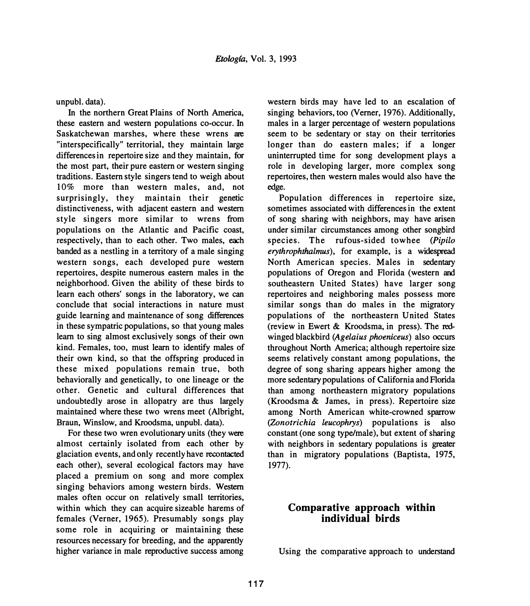**unpubl. data).** 

**In the northern Great Plains of North America, these eastern and western populations co-occur. In Saskatchewan marshes, where these wrens are "interspecifically" territorial, they maintain large differences in repertoire size and they maintain, for the most part, their pure eastern or western singing traditions. Eastern style singers tend to weigh about 10% more than western males, and, not surprisingly, they maintain their genetic distinctiveness, with adjacent eastern and western style singers more similar to wrens from populations on the Atlantic and Pacific coast, respectively, than to each other. Two males, each banded as a nestling in a territory of a male singing western songs, each developed pure western repertoires, despite numerous eastern males in the neighborhood. Given the ability of these birds to learn each others' songs in the laboratory, we can conclude that social interactions in nature must guide learning and maintenance of song differences in these sympatric populations, so that young males learn to sing almost exclusively songs of their own kind. Females, too, must learn to identify males of their own kind, so that the offspring produced in these mixed populations remain true, both behaviorally and genetically, to one lineage or the other. Genetic and cultural differences that undoubtedly arose in allopatry are thus largely maintained where these two wrens meet (Albright, Braun, Winslow, and Kroodsma, unpubl. data).**

**For these two wren evolutionary units (they were almost certainly isolated from each other by glaciation events, and only recently have recontacted each other), several ecological factors may have placed a premium on song and more complex singing behaviors among western birds. Western males often occur on relatively small territories, within which they can acquire sizeable harems of females (Verner, 1965). Presumably songs play some role in acquiring or maintaining these resources necessary for breeding, and the apparently higher variance in male reproductive success among** 

**western birds may have led to an escalation of singing behaviors, too (Verner, 1976). Additionally, males in a larger percentage of western populations seem to be sedentary or stay on their territories longer than do eastern males; if a longer uninterrupted time for song development plays a role in developing larger, more complex song repertoires, then western males would also have the edge.** 

**Population differences in repertoire size, sometimes associated with differences in the extent of song sharing with neighbors, may have arisen under similar circumstances among other songbird species. The rufous-sided towhee** *(Pipilo erythrophtha lmus),* **for example, is a widespread North American species. Males in sedentary populations of Oregon and Florida (western and southeastern United States) have larger song repertoires and neighboring males possess more similar songs than do males in the migratory populations of the northeastern United States (review in Ewert & Kroodsma, in press). The redwinged blackbird** *(Agelaius phoeniceus)* **also occurs throughout North America; although repertoire size seems relatively constant among populations, the degree of song sharing appears higher among the more sedentary populations of California and Florida than among northeastern migratory populations (Kroodsma & James, in press). Repertoire size among North American white-crowned sparrow**  *(Zonotrichia leucophrys)* **populations is also constant ( one song type/male), but extent of sharing with neighbors in sedentary populations is greater than in migratory populations (Baptista, 1975, 1977).** 

# **Comparative approach within individual birds**

**Using the comparative approach to understand**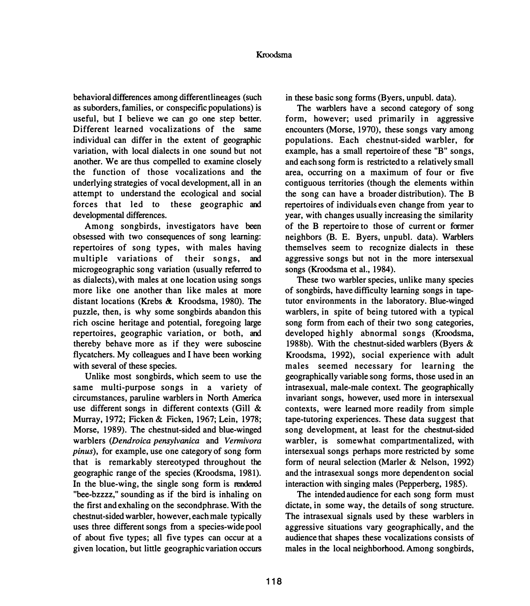**behavioral differences among different lineages ( such as suborders, families, or conspecific populations) is useful, but I believe we can go one step better. Different learned vocalizations of the same individual can differ in the extent of geographic variation, with local dialects in one sound but not another. We are thus compelled to examine closely the function of those vocalizations and the underlying strategies of vocal development, all in an attempt to understand the ecological and social**  forces that led to these geographic and **developmental differences.** 

**Among songbirds, investigators have been obsessed with two consequences of song learning: repertoires of song types, with males having**  multiple variations of their songs, and **microgeographic song variation (usually referred to as dialects), with males at one location using songs more like one another than like males at more distant locations (Krebs & Kroodsma, 1980). The puzzle, then, is why some songbirds abandon this rich oscine heritage and potential, foregoing large**  repertoires, geographic variation, or both, and **thereby behave more as if they were suboscine flycatchers. My colleagues and I have been working with several of these species.** 

**Unlike most songbirds, which seem to use the same multi-purpose songs in a variety of circumstances, paruline warblers in North America use different songs in different contexts (Gill & Murray, 1972; Ficken & Ficken, 1967; Lein, 1978; Morse, 1989). The chestnut-sided and blue-winged warblers** *(Dendroica pensylvanica* **and** *Vermivora pinus),* **for example, use one category of song form that is remarkably stereotyped throughout the geographic range of the species (Kroodsma, 1981). In the blue-wing, the single song form is rendered "bee-bzzzz," sounding as if the bird is inhaling on**  the first and exhaling on the second phrase. With the **chestnut-sided warbler, however, each male typically uses three different songs from a species-wide pool of about five types; all five types can occur at a given location, but little geographic variation occurs**  **in these basic song forms (Byers, unpubl. data).** 

**The warblers have a second category of song form, however; used primarily in aggressive encounters (Morse, 1970), these songs vary among populations. Each chestnut-sided warbler, for example, has a small repertoire of these "B" songs, and each song form is restricted to a relatively small area, occurring on a maximum of four or five contiguous territories (though the elements within the song can have a broader distribution). The B repertoires of individuals even change from year to year, with changes usually increasing the similarity of the B repertoire to those of current or former neighbors (B. E. Byers, unpubl. data). Warblers themselves seem to recognize dialects in these aggressive songs but not in the more intersexual songs (Kroodsma et al., 1984).** 

**These two warbler species, unlike many species of songbirds, have difficulty learning songs in tapetutor environments in the laboratory. Blue-winged warblers, in spite of being tutored with a typical song form from each of their two song categories, developed highly abnormal songs (Kroodsma, 1988b). With the chestnut-sided warblers (Byers & Kroodsma, 1992), social experience with adult males seemed necessary for learning the geographically variable song forms, those used in an intrasexual, male-male context. The geographically invariant songs, however, used more in intersexual contexts, were learned more readily from simple tape-tutoring experiences. These data suggest that song development, at least for the chestnut-sided warbler, is somewhat compartmentalized, with intersexual songs perhaps more restricted by some form of neural selection (Marler & Nelson, 1992) and the intrasexual songs more dependenton social interaction with singing males (Pepperberg, 1985).** 

**The intended audience for each song form must dictate, in some way, the details of song structure. The intrasexual signals used by these warblers in aggressive situations vary geographically, and the audience that shapes these vocalizations consists of males in the local neighborhood. Among songbirds,**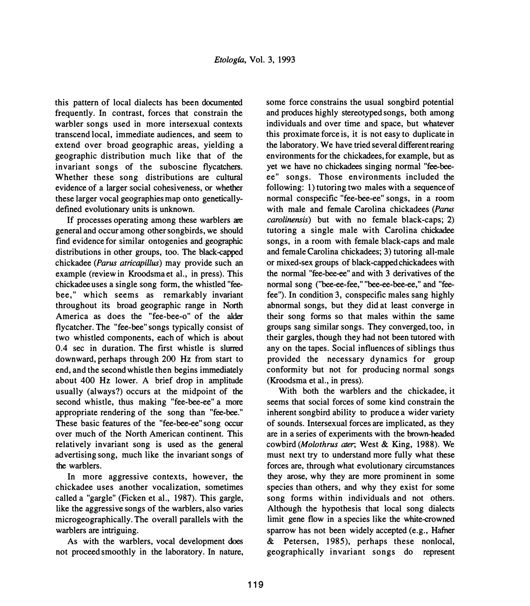**this pattern of local dialects has been documented frequently. In contrast, forces that constrain the warbler songs used in more intersexual contexts transcend local, immediate audiences, and seem to extend over broad geographic areas, yielding a geographic distribution much like that of the invariant songs of the suboscine flycatchers. Whether these song distributions are cultural evidence of a larger social cohesiveness, or whether these larger vocal geographies map onto geneticallydefined evolutionary units is unknown.** 

**If processes operating among these warblers are general and occur among other songbirds, we should find evidence for similar ontogenies and geographic distributions in other groups, too. The black-capped chickadee** *(Parus atricapillus)* **may provide such an example (review in Kroodsma et al., in press). This**  chickadee uses a single song form, the whistled "fee**bee," which seems as remarkably invariant throughout its broad geographic range in North America as does the "fee-bee-o" of the alder flycatcher. The "fee-bee" songs typically consist of two whistled components, each of which is about 0.4 sec in duration. The first whistle is slurred downward, perhaps through 200 Hz from start to end, and the second whistle then begins immediately about 400 Hz lower. A brief drop in amplitude usually (always?) occurs at the midpoint of the second whistle, thus making "fee-bee-ee" a more appropriate rendering of the song than "fee-bee." These basic features of the "fee-bee-ee" song occur over much of the North American continent. This relatively invariant song is used as the general advertising song, much like the invariant songs of the warblers.** 

**In more aggressive contexts, however, the chickadee uses another vocalization, sometimes called a "gargle" (Ficken et al., 1987). This gargle, like the aggressive songs of the warblers, also varies microgeographically. The overall parallels with the warblers are intriguing.** 

**As with the warblers, vocal development does not proceed smoothly in the laboratory. In nature,**  **some force constrains the usual songbird potential and produces highly stereotyped songs, both among individuals and over time and space, but whatever this proximate force is, it is not easy to duplicate in the laboratory. We have tried several different rearing environments for the chickadees, for example, but as yet we have no chickadees singing normal "fee-beeee" songs. Those environments included the following: 1) tutoring two males with a sequence of nonnal conspecific "fee-bee-ee" songs, in a room with male and female Carolina chickadees** *(Parus carolinensis)* **but with no female black-caps; 2) tutoring a single male with Carolina chickadee songs, in a room with female black-caps and male and female Carolina chickadees; 3) tutoring all-male or mixed-sex groups of black-capped chickadees with**  the normal "fee-bee-ee" and with 3 derivatives of the **nonnal song ("bee-ee-fee," "bee-ee-bee-ee," and "feefee"). In condition 3, conspecific males sang highly abnonnal songs, but they did at least converge in their song fonns so that males within the same groups sang similar songs. They converged, too, in their gargles, though they had not been tutored with any on the tapes. Social influences of siblings thus provided the necessary dynamics for group confonnity but not for producing normal songs (Kroodsma et al., in press).** 

**With both the warblers and the chickadee, it seems that social forces of some kind constrain the inherent songbird ability to produce a wider variety of sounds. Intersexual forces are implicated, as they are in a series of experiments with the brown-headed cowbird** *(Molothrus ater;* **West & King, 1988). We must next try to understand more fully what these forces are, through what evolutionary circumstances they arose, why they are more prominent in some species than others, and why they exist for some song forms within individuals and not others. Although the hypothesis that local song dialects limit gene flow in a species like the white-crowned sparrow has not been widely accepted (e.g., Hafner & Petersen, 1985), perhaps these nonlocal, geographically invariant songs do represent**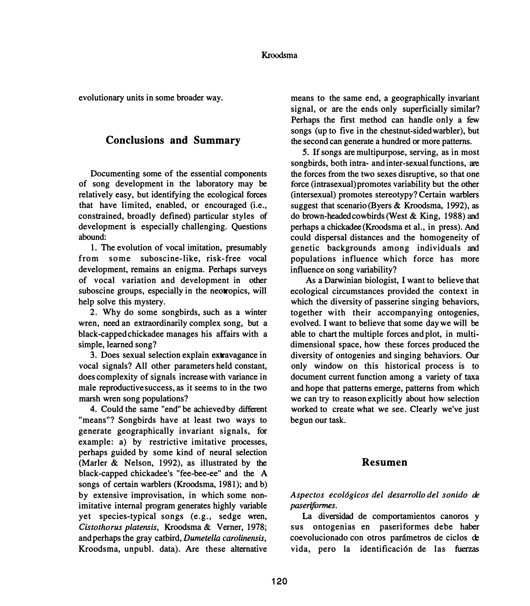**evolutionary units in some broader way.** 

# **Conclusions and Summary**

**Documenting some of the essential components of song development in the laboratory may be relatively easy, but identifying the ecological forces that have limited, enabled, or encouraged (i.e., constrained, broadly defined) particular styles of development is especially challenging. Questions abound:** 

**1. The evolution of vocal imitation, presumably from some suboscine-like, risk-free vocal development, remains an enigma. Perhaps surveys of vocal variation and development in other suboscine groups, especially in the neotropics, will help solve this mystery.** 

**2. Why do some songbirds, such as a winter wren, need an extraordinarily complex song, but a black-capped chickadee manages his affairs with a simple, learned song?** 

**3. Does sexual selection explain extravagance in vocal signals? All other parameters held constant, does complexity of signals increase with variance in male reproductive success, as it seems to in the two marsh wren song populations?** 

**4. Could the same "end" be achieved by different "means"? Songbirds have at least two ways to generate geographically invariant signals, for example: a) by restrictive imitative processes, perhaps guided by some kind of neural selection (Marler & Nelson, 1992), as illustrated by the black-capped chickadee's "fee-bee-ee" and the A songs of certain warblers (Kroodsma, 1981); and b) by extensive improvisation, in which some nonimitative internal program generates highly variable yet species-typical songs (e.g., sedge wren,**  *Cistothorus platensis,* **Kroodsma & Verner, 1978; and perhaps the gray catbird,** *Dumetella carolinensis,*  **Kroodsma, unpubl. data). Are these alternative** 

**means to the same end, a geographically invariant signal, or are the ends only superficially similar? Perhaps the first method can handle only a few songs (up to five in the chestnut-sided warbler), but the second can generate a hundred or more patterns.** 

*5.* **If songs are multipurpose, serving, as in most songbirds, both intra- and inter-sexual functions, are the forces from the two sexes disruptive, so that one force (intrasexual) promotes variability but the other (intersexual) promotes stereotypy? Certain warblers suggest that scenario (Byers & Kroodsma, 1992), as do brown-headedcowbirds(West & King, 1988) and perhaps a chickadee(Kroodsma et al., in press). And could dispersal distances and the homogeneity of genetic backgrounds among individuals and populations influence which force has more influence on song variability?** 

**As a Darwinian biologist, I want to believe that ecological circumstances provided the context in which the diversity of passerine singing behaviors, together with their accompanying ontogenies, evolved. I want to believe that some day we will be able to chart the multiple forces and plot, in multidimensional space, how these forces produced the diversity of ontogenies and singing behaviors. Our only window on this historical process is to document current function among a variety of taxa and hope that patterns emerge, patterns from which we can try to reason explicitly about how selection worked to create what we see. Clearly we've just begun our task.** 

### **Resumen**

Aspectos ecológicos del desarrollo del sonido de *paseriformes.* 

**La diversidad de comportamientos canoros y sus ontogenias en paseriformes debe haber coevolucionado con otros parametros de ciclos re vida, pero la identificaci6n de las fuerzas**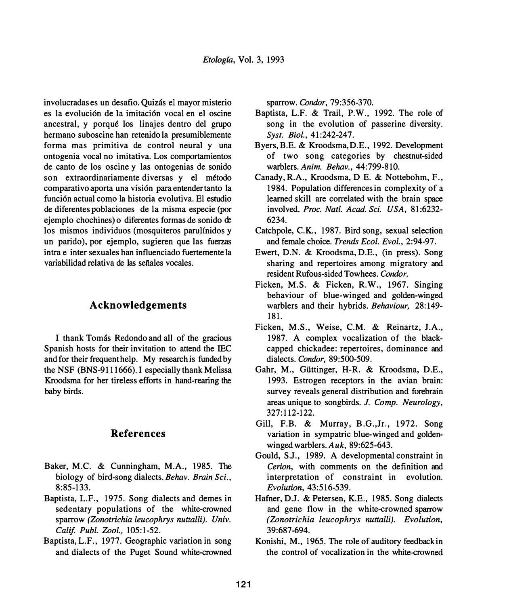involucradas es un desafio. Quizás el mayor misterio es la evolución de la imitación vocal en el oscine ancestral, y porque los linajes dentro del grupo hermano suboscine han retenido la presumiblemente forma mas primitiva de control neural y una ontogenia vocal no imitativa. Los comportamientos de canto de los oscine y las ontogenias de sonido son extraordinariamente diversas y el método comparativo aporta una visi6n para entendertanto la funci6n actual como la historia evolutiva. El estudio de diferentes poblaciones de la misma especie (por ejemplo chochines) o diferentes formas de sonido de los mismos individuos (mosquiteros parulfnidos y un parido), por ejemplo, sugieren que las fuerzas intra e inter sexuales han influenciado fuertemente la variabilidad relativa de las sefiales vocales.

### **Acknowledgements**

I thank Tomás Redondo and all of the gracious Spanish hosts for their invitation to attend the IEC and for their frequenthelp. My research is funded by the NSF (BNS-9111666). I especially thank Melissa Kroodsma for her tireless efforts in hand-rearing the baby birds.

### **References**

- Baker, M.C. & Cunningham, M.A., 1985. The biology of bird-song dialects. *Behav. Brain Sci.,*  8:85-133.
- Baptista, L.F., 1975. Song dialects and demes in sedentary populations of the white-crowned sparrow *(Zonotrichia leucophrys nuttalli). Univ. Calif. Publ. Zool.,* 105: 1-52.
- Baptista, L.F., 1977. Geographic variation in song and dialects of the Puget Sound white-crowned

sparrow. *Condor,* 79:356-370.

- Baptista, L.F. & Trail, P.W., 1992. The role of song in the evolution of passerine diversity. *Syst. Biol.,* 41:242-247.
- Byers, B.E. & Kroodsma, D.E., 1992. Development of two song categories by chestnut-sided warblers. *Anim. Behav.,* 44:799-810.
- Canady, R.A., Kroodsma, D E. & Nottebohm, F., 1984. Population differences in complexity of a learned skill are correlated with the brain space involved. *Proc. Natl. Acad. Sci. USA,* 81:6232- 6234.
- Catchpole, C.K., 1987. Bird song, sexual selection and female choice. *Trends Ecol. Evol.,* 2:94-97.
- Ewert, D.N. & Kroodsma, D.E., (in press). Song sharing and repertoires among migratory and resident Rufous-sided Towhees. *Condor.*
- Ficken, M.S. & Ficken, R.W., 1967. Singing behaviour of blue-winged and golden-winged warblers and their hybrids. *Behaviour,* 28: 149- 181.
- Ficken, M.S., Weise, C.M. & Reinartz, J.A., 1987. A complex vocalization of the blackcapped chickadee: repertoires, dominance and dialects. *Condor,* 89:500-509.
- Gahr, M., Gilttinger, H-R. & Kroodsma, D.E., 1993. Estrogen receptors in the avian brain: survey reveals general distribution and forebrain areas unique to songbirds. *J. Comp. Neurology,*  327:112-122.
- Gill, F.B. & Murray, B.G.,Jr., 1972. Song variation in sympatric blue-winged and goldenwinged warblers. *Auk,* 89:625-643.
- Gould, S.J., 1989. A developmental constraint in *Cerion,* with comments on the definition and interpretation of constraint in evolution. *Evolution,* 43:516-539.
- Hafner, D.J. & Petersen, K.E., 1985. Song dialects and gene flow in the white-crowned sparrow *(Zonotrichia leucophrys nuttalli). Evolution,*  39:687-694.
- Konishi, M., 1965. The role of auditory feedback in the control of vocalization in the white-crowned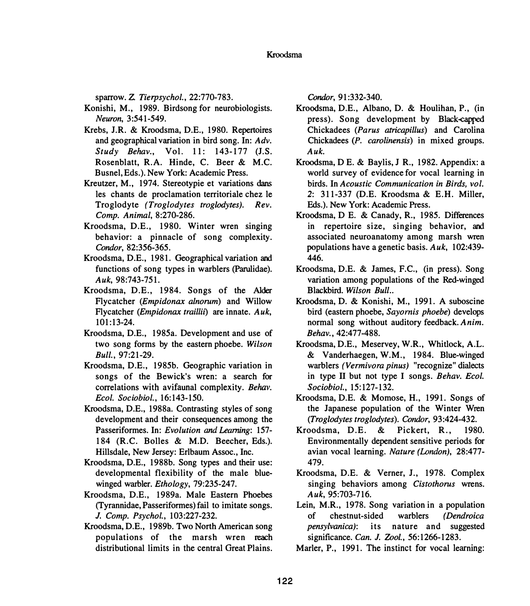**sparrow. Z.** *Tierpsychol.,* **22:770-783.** 

- **Konishi, M., 1989. Birdsong for neurobiologists.**  *Neuron,* **3:541-549.**
- **Krebs, J.R. & Kroodsma, D.E., 1980. Repertoires and geographical variation in bird song. In:** *Adv. Study Behav.,* **Vol. 11: 143-177 (J.S. Rosenblatt, R.A. Hinde, C. Beer & M.C. Busnel, Eds.). New York: Academic Press.**
- Kreutzer, M., 1974. Stereotypie et variations dans **les chants de proclamation territoriale chez le Troglodyte** *(Troglodytes troglodytes). Rev. Comp. Animal,* **8:270-286.**
- **Kroodsma, D.E., 1980. Winter wren singing behavior: a pinnacle of song complexity.**  *Condor,* **82:356-365.**
- **Kroodsma, D.E., 1981. Geographical variation and functions of song types in warblers (Parulidae).**  *Auk,* **98:743-751.**
- **Kroodsma, D.E., 1984. Songs of the Alder Flycatcher** *(Empidonax alnorum)* **and Willow Flycatcher** *(Empidonax traillii)* **are innate.** *Auk,*  **101:13-24.**
- **Kroodsma, D.E., 1985a. Development and use of two song forms by the eastern phoebe.** *Wilson Bull.,* **97:21-29.**
- **Kroodsma, D.E., 1985b. Geographic variation in songs of the Bewick's wren: a search for correlations with avifaunal complexity.** *Behav. Ecol. Sociobiol.,* **16:143-150.**
- **Kroodsma, D.E., 1988a. Contrasting styles of song development and their consequences among the Passeriformes. In:** *Evolution and Leaming:* **157- 184 (R.C. Bolles & M.D. Beecher, Eds.). Hillsdale, New Jersey: Erlbaum Assoc., Inc.**
- **Kroodsma, D.E., 1988b. Song types and their use: developmental flexibility of the male bluewinged warbler.** *Ethology,* **79:235-247.**
- **Kroodsma, D.E., 1989a. Male Eastern Phoebes (Tyrannidae, Passeriformes) fail to imitate songs.**  *J. Comp. Psycho/.,* **103:227-232.**
- **Kroodsma, D.E., 1989b. Two North American song populations of the marsh wren reach distributional limits in the central Great Plains.**

*Condor,* **91:332-340.** 

- **Kroodsma, D.E., Albano, D. & Houlihan, P., (in press). Song development by Black-capped Chickadees** *(Parus atricapillus)* **and Carolina Chickadees** *(P. carolinensis)* **in mixed groups.**  *Auk.*
- **Kroodsma, D E. & Baylis, J R., 1982. Appendix: a world survey of evidence for vocal learning in birds. In** *Acoustic Communication in Birds, vol.*  **2: 311-337 (D.E. Kroodsma & E.H. Miller, Eds.). New York: Academic Press.**
- **Kroodsma, D E. & Canady, R., 1985. Differences in repertoire size, singing behavior, and associated neuroanatomy among marsh wren populations have a genetic basis.** *Auk,* **102:439- 446.**
- **Kroodsma, D.E. & James, F.C., (in press). Song variation among populations of the Red-winged Blackbird.** *Wilson Bull ..*
- **Kroodsma, D. & Konishi, M., 1991. A suboscine bird (eastern phoebe,** *Sayomis phoebe)* **develops normal song without auditory feedback.** *Anim. Behav.,* **42:477-488.**
- **Kroodsma, D.E., Meservey, W.R., Whitlock, A.L. & Vanderhaegen, W.M., 1984. Blue-winged warblers** *(Vermivora pinus)* **"recognize" dialects in type II but not type I songs.** *Behav. Ecol. Sociobiol.,* **15:127-132.**
- **Kroodsma, D.E. & Momose, H., 1991. Songs of the Japanese population of the Winter Wren**  *(Troglodytes troglodytes). Condor,* **93:424-432.**
- **Kroodsma, D.E. & Pickert, R., 1980. Environmentally dependent sensitive periods for avian vocal learning.** *Nature (London),* **28:477- 479.**
- **Kroodsma, D.E. & Verner, J., 1978. Complex singing behaviors among** *Cistothorus* **wrens.**  *Auk,* **95:703-716.**
- **Lein, M.R., 1978. Song variation in a population of chestnut-sided warblers** *(Dendroica pensylvanica):* **its nature and suggested significance.** *Can. J. Zool.,* **56:1266-1283.**
- **Marler, P., 1991. The instinct for vocal learning:**